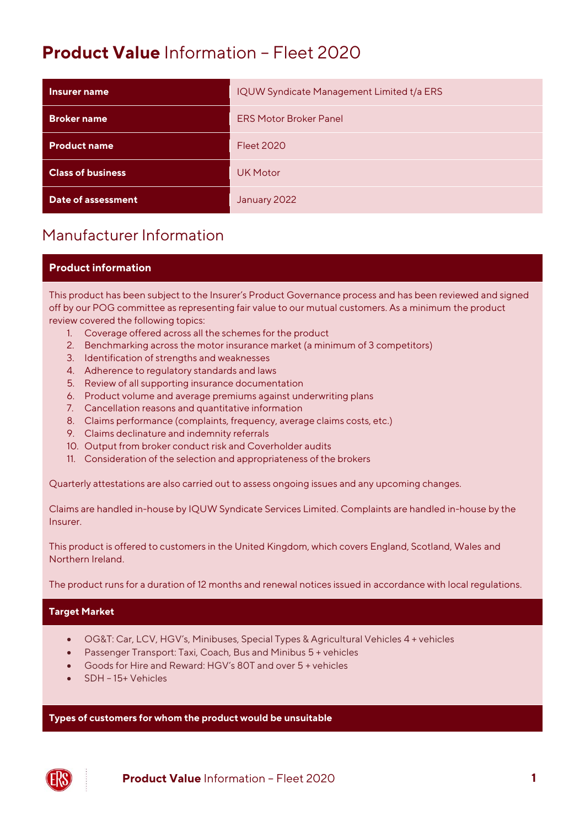# **Product Value** Information – Fleet 2020

| Insurer name             | IQUW Syndicate Management Limited t/a ERS |
|--------------------------|-------------------------------------------|
| <b>Broker name</b>       | <b>ERS Motor Broker Panel</b>             |
| <b>Product name</b>      | <b>Fleet 2020</b>                         |
| <b>Class of business</b> | <b>UK Motor</b>                           |
| Date of assessment       | January 2022                              |

## Manufacturer Information

#### **Product information**

This product has been subject to the Insurer's Product Governance process and has been reviewed and signed off by our POG committee as representing fair value to our mutual customers. As a minimum the product review covered the following topics:

- 1. Coverage offered across all the schemes for the product
- 2. Benchmarking across the motor insurance market (a minimum of 3 competitors)
- 3. Identification of strengths and weaknesses
- 4. Adherence to regulatory standards and laws
- 5. Review of all supporting insurance documentation
- 6. Product volume and average premiums against underwriting plans
- 7. Cancellation reasons and quantitative information
- 8. Claims performance (complaints, frequency, average claims costs, etc.)
- 9. Claims declinature and indemnity referrals
- 10. Output from broker conduct risk and Coverholder audits
- 11. Consideration of the selection and appropriateness of the brokers

Quarterly attestations are also carried out to assess ongoing issues and any upcoming changes.

Claims are handled in-house by IQUW Syndicate Services Limited. Complaints are handled in-house by the Insurer.

This product is offered to customers in the United Kingdom, which covers England, Scotland, Wales and Northern Ireland.

The product runs for a duration of 12 months and renewal notices issued in accordance with local regulations.

#### **Target Market**

- OG&T: Car, LCV, HGV's, Minibuses, Special Types & Agricultural Vehicles 4 + vehicles
- Passenger Transport: Taxi, Coach, Bus and Minibus 5 + vehicles
- Goods for Hire and Reward: HGV's 80T and over 5 + vehicles
- SDH 15+ Vehicles

**Types of customers for whom the product would be unsuitable**